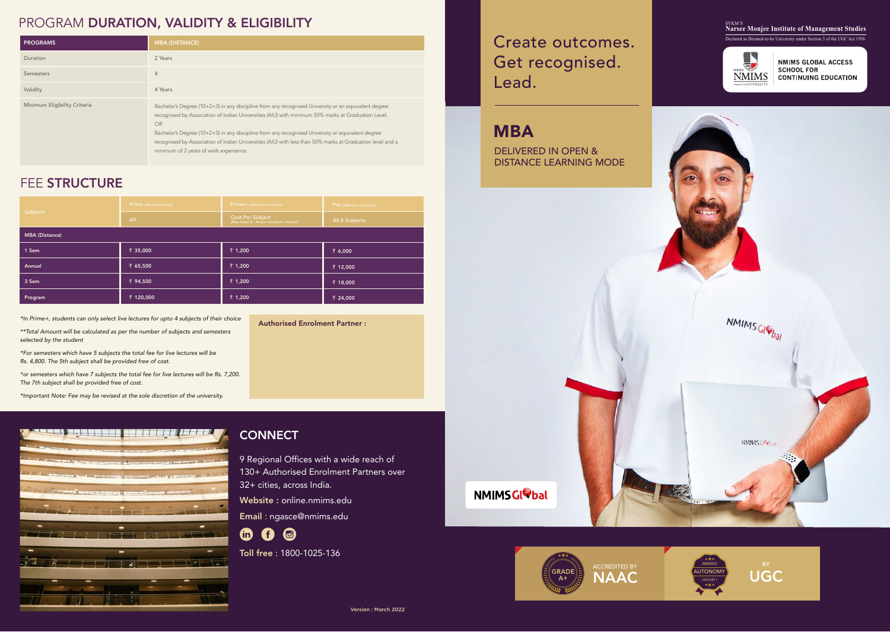| Subjects              | Prime (Recorded Only) | <b>Prime+</b> (Add Live Lectures)                           | <b>Pro</b> (Add Live Lectures) |  |
|-----------------------|-----------------------|-------------------------------------------------------------|--------------------------------|--|
|                       | All                   | Cost Per Subject<br>(Max Upto 4 - As per student's choice)* | All 6 Subjects                 |  |
| <b>MBA (Distance)</b> |                       |                                                             |                                |  |
| 1 Sem                 | ₹ 35,000              | ₹ 1,200                                                     | ₹ 6,000                        |  |
| Annual                | ₹ 65,500              | ₹ 1,200                                                     | ₹ 12,000                       |  |
| 3 Sem                 | ₹ 94,500              | ₹ 1,200                                                     | ₹ 18,000                       |  |
| Program               | ₹ 120,000             | ₹ 1,200                                                     | ₹ 24,000                       |  |

### PROGRAM DURATION, VALIDITY & ELIGIBILITY

9 Regional Offices with a wide reach of 130+ Authorised Enrolment Partners over 32+ cities, across India.

Website : online.nmims.edu

Email : ngasce@nmims.edu



Toll free : 1800-1025-136

| <b>PROGRAMS</b>              | <b>MBA (DISTANCE)</b>                                                                                                                                                                                                                                                                                                                                                                                                                                                      |
|------------------------------|----------------------------------------------------------------------------------------------------------------------------------------------------------------------------------------------------------------------------------------------------------------------------------------------------------------------------------------------------------------------------------------------------------------------------------------------------------------------------|
| Duration                     | 2 Years                                                                                                                                                                                                                                                                                                                                                                                                                                                                    |
| Semesters                    | $\overline{4}$                                                                                                                                                                                                                                                                                                                                                                                                                                                             |
| Validity                     | 4 Years                                                                                                                                                                                                                                                                                                                                                                                                                                                                    |
| Minimum Eligibility Criteria | Bachelor's Degree (10+2+3) in any discipline from any recognised University or an equivalent degree<br>recognised by Association of Indian Universities (AIU) with minimum 50% marks at Graduation Level.<br>OR<br>Bachelor's Degree (10+2+3) in any discipline from any recognised University or equivalent degree<br>recognised by Association of Indian Universities (AIU) with less than 50% marks at Graduation level and a<br>minimum of 2 years of work experience. |

### FEE STRUCTURE

Authorised Enrolment Partner :

*\*In Prime+, students can only select live lectures for upto 4 subjects of their choice* 

*\*\*Total Amount will be calculated as per the number of subjects and semesters selected by the student* 

*\*For semesters which have 5 subjects the total fee for live lectures will be Rs. 4,800. The 5th subject shall be provided free of cost.* 

*\*or semesters which have 7 subjects the total fee for live lectures will be Rs. 7,200. The 7th subject shall be provided free of cost.* 

*\*Important Note: Fee may be revised at the sole discretion of the university.*



### **CONNECT**







#### <sub>SVKM'S</sub><br>Narsee Monjee Institute of Management Studies Declared as Deemed-to-be University under Section 3 of the UGC Act 1956



**NMIMS GLOBAL ACCESS SCHOOL FOR CONTINUING EDUCATION** 

# Create outcomes. Get recognised. Lead.